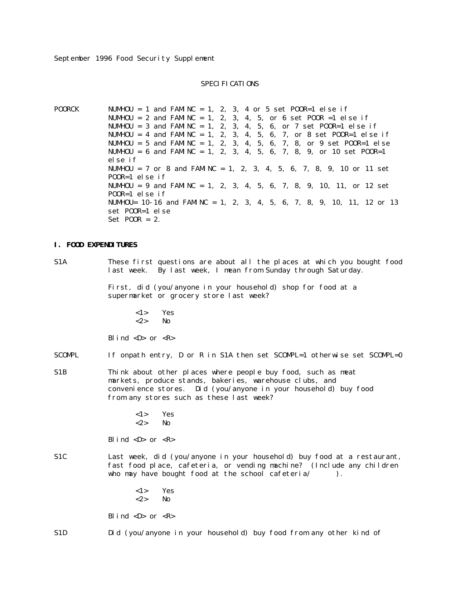## SPECI FI CATI ONS

POORCK NUMHOU = 1 and FAMINC = 1, 2, 3, 4 or 5 set POOR=1 else if NUMHOU = 2 and FAMINC = 1, 2, 3, 4, 5, or 6 set POOR = 1 else if NUMHOU = 3 and FAMINC = 1, 2, 3, 4, 5, 6, or 7 set POOR=1 else if NUMHOU = 4 and FAMINC = 1, 2, 3, 4, 5, 6, 7, or 8 set POOR=1 else if NUMHOU = 5 and FAMINC = 1, 2, 3, 4, 5, 6, 7, 8, or 9 set POOR=1 else NUMHOU = 6 and FAMINC = 1, 2, 3, 4, 5, 6, 7, 8, 9, or 10 set POOR=1 else if NUMHOU = 7 or 8 and FAMINC = 1, 2, 3, 4, 5, 6, 7, 8, 9, 10 or 11 set POOR=1 else if NUMHOU = 9 and FAMINC = 1, 2, 3, 4, 5, 6, 7, 8, 9, 10, 11, or 12 set POOR=1 else if NUMHOU= 10-16 and FAMINC = 1, 2, 3, 4, 5, 6, 7, 8, 9, 10, 11, 12 or 13 set POOR=1 else Set  $POOR = 2$ .

#### **I. FOOD EXPENDITURES**

S1A These first questions are about all the places at which you bought food last week. By last week, I mean from Sunday through Saturday.

> First, did (you/anyone in your household) shop for food at a supermarket or grocery store last week?

 $<1>$  Yes  $\langle 2 \rangle$  No

Blind  $\langle D \rangle$  or  $\langle R \rangle$ 

- SCOMPL If onpath entry, D or R in S1A then set SCOMPL=1 otherwise set SCOMPL=0
- S1B Think about other places where people buy food, such as meat markets, produce stands, bakeries, warehouse clubs, and convenience stores. Did (you/anyone in your household) buy food from any stores such as these last week?

<1> Yes <2> No

Blind  $\langle D \rangle$  or  $\langle R \rangle$ 

S1C Last week, did (you/anyone in your household) buy food at a restaurant, fast food place, cafeteria, or vending machine? (Include any children who may have bought food at the school cafeteria/ ).

> <1> Yes <2> No Blind  $\langle D \rangle$  or  $\langle R \rangle$

S1D Did (you/anyone in your household) buy food from any other kind of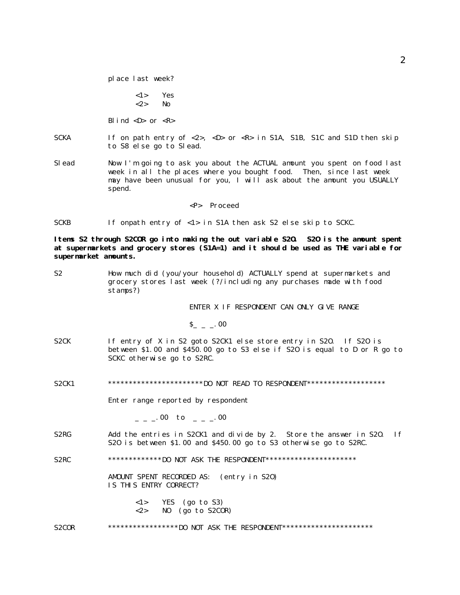place last week?

<1> Yes <2> No

Blind  $\langle D \rangle$  or  $\langle R \rangle$ 

- SCKA If on path entry of <2>, <D> or <R> in S1A, S1B, S1C and S1D then skip to S8 else go to Slead.
- Slead Now I'm going to ask you about the ACTUAL amount you spent on food last week in all the places where you bought food. Then, since last week may have been unusual for you, I will ask about the amount you USUALLY spend.
	- <P> Proceed
- SCKB If onpath entry of <1> in S1A then ask S2 else skip to SCKC.

**Items S2 through S2COR go into making the out variable S2O. S2O is the amount spent at supermarkets and grocery stores (S1A=1) and it should be used as THE variable for supermarket amounts.**

S2 How much did (you/your household) ACTUALLY spend at supermarkets and grocery stores last week (?/including any purchases made with food stamps?)

ENTER X IF RESPONDENT CAN ONLY GIVE RANGE

 $S_{-} = 0.00$ 

- S2CK If entry of X in S2 goto S2CK1 else store entry in S2O. If S2O is between \$1.00 and \$450.00 go to S3 else if S2O is equal to D or R go to SCKC otherwise go to S2RC.
- S2CK1 \*\*\*\*\*\*\*\*\*\*\*\*\*\*\*\*\*\*\*\*\*\*\*\*DO NOT READ TO RESPONDENT\*\*\*\*\*\*\*\*\*\*\*\*\*\*\*\*\*\*\*

Enter range reported by respondent

 $\sim$   $\sim$  00 to  $\sim$   $\sim$   $\sim$  00

S2RG Add the entries in S2CK1 and divide by 2. Store the answer in S20. If S2O is between \$1.00 and \$450.00 go to S3 otherwise go to S2RC.

S2RC \*\*\*\*\*\*\*\*\*\*\*\*\*DO NOT ASK THE RESPONDENT\*\*\*\*\*\*\*\*\*\*\*\*\*\*\*\*\*\*\*\*\*\*

AMOUNT SPENT RECORDED AS: (entry in S2O) IS THIS ENTRY CORRECT?

> <1> YES (go to S3)  $\langle 2 \rangle$  NO (go to S2COR)

#### S2COR \*\*\*\*\*\*\*\*\*\*\*\*\*\*\*\*\*\*DO NOT ASK THE RESPONDENT\*\*\*\*\*\*\*\*\*\*\*\*\*\*\*\*\*\*\*\*\*\*\*\*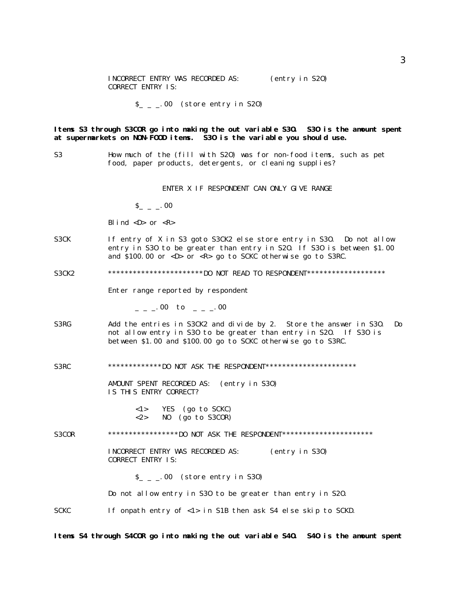| INCORRECT ENTRY WAS RECORDED AS: |  | (entry in S20) |  |
|----------------------------------|--|----------------|--|
| <b>CORRECT ENTRY IS:</b>         |  |                |  |

 $S_{-}$   $\_\,$  00 (store entry in S20)

**Items S3 through S3COR go into making the out variable S3O. S3O is the amount spent at supermarkets on NON-FOOD items. S3O is the variable you should use.**

S3 How much of the (fill with S2O) was for non-food items, such as pet food, paper products, detergents, or cleaning supplies?

ENTER X IF RESPONDENT CAN ONLY GIVE RANGE

 $S_{-}$   $-$  00

Blind  $\langle D \rangle$  or  $\langle R \rangle$ 

S3CK If entry of X in S3 goto S3CK2 else store entry in S3O. Do not allow entry in S3O to be greater than entry in S2O. If S3O is between \$1.00 and \$100.00 or <D> or <R> go to SCKC otherwise go to S3RC.

S3CK2 \*\*\*\*\*\*\*\*\*\*\*\*\*\*\*\*\*\*\*\*\*\*\*\*DO NOT READ TO RESPONDENT\*\*\*\*\*\*\*\*\*\*\*\*\*\*\*\*\*\*\*\*

Enter range reported by respondent

 $\sim$   $\sim$  00 to  $\sim$   $\sim$  00

- S3RG Add the entries in S3CK2 and divide by 2. Store the answer in S3O. Do not allow entry in S3O to be greater than entry in S2O. If S3O is between \$1.00 and \$100.00 go to SCKC otherwise go to S3RC.
- S3RC \*\*\*\*\*\*\*\*\*\*\*\*\*\*DO NOT ASK THE RESPONDENT\*\*\*\*\*\*\*\*\*\*\*\*\*\*\*\*\*\*\*\*\*\*\*

AMOUNT SPENT RECORDED AS: (entry in S3O) IS THIS ENTRY CORRECT?

> <1> YES (go to SCKC)  $\langle 2 \rangle$  NO (go to S3COR)

S3COR \*\*\*\*\*\*\*\*\*\*\*\*\*\*\*\*\*DO NOT ASK THE RESPONDENT\*\*\*\*\*\*\*\*\*\*\*\*\*\*\*\*\*\*\*\*\*\*\*\*\*\*\*\*\*\*\*\*

INCORRECT ENTRY WAS RECORDED AS: (entry in S3O) CORRECT ENTRY IS:

 $S_{-}$   $_{-}$   $\sim$  00 (store entry in S30)

Do not allow entry in S3O to be greater than entry in S2O.

SCKC If onpath entry of <1> in S1B then ask S4 else skip to SCKD.

**Items S4 through S4COR go into making the out variable S4O. S4O is the amount spent**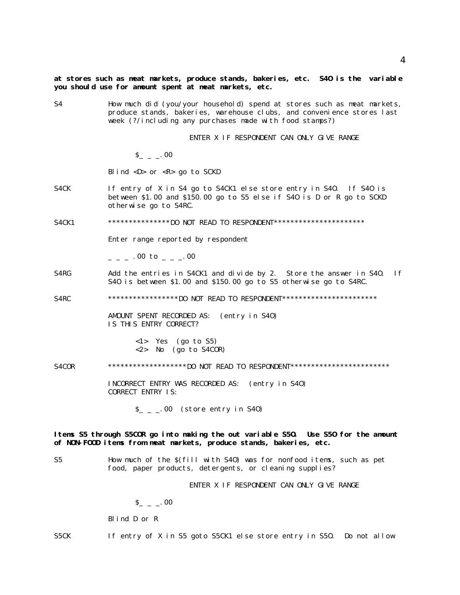S4 How much did (you/your household) spend at stores such as meat markets, produce stands, bakeries, warehouse clubs, and convenience stores last week (?/including any purchases made with food stamps?)

ENTER X IF RESPONDENT CAN ONLY GIVE RANGE

 $S_{-} = 0.00$ 

Blind  $\langle D \rangle$  or  $\langle R \rangle$  go to SCKD

- S4CK If entry of X in S4 go to S4CK1 else store entry in S4O. If S4O is between \$1.00 and \$150.00 go to S5 else if S4O is D or R go to SCKD otherwise go to S4RC.
- S4CK1 \*\*\*\*\*\*\*\*\*\*\*\*\*\*\*DO NOT READ TO RESPONDENT\*\*\*\*\*\*\*\*\*\*\*\*\*\*\*\*\*\*\*\*\*\*

Enter range reported by respondent

 $\cdot$  00 to  $\cdot$  00

S4RG Add the entries in S4CK1 and divide by 2. Store the answer in S40. If S4O is between \$1.00 and \$150.00 go to S5 otherwise go to S4RC.

S4RC \*\*\*\*\*\*\*\*\*\*\*\*\*\*\*\*\*DO NOT READ TO RESPONDENT\*\*\*\*\*\*\*\*\*\*\*\*\*\*\*\*\*\*\*\*\*\*\*\*\*\*

AMOUNT SPENT RECORDED AS: (entry in S4O) IS THIS ENTRY CORRECT?

> <1> Yes (go to S5) <2> No (go to S4COR)

S4COR \*\*\*\*\*\*\*\*\*\*\*\*\*\*\*\*\*\*\*DO NOT READ TO RESPONDENT\*\*\*\*\*\*\*\*\*\*\*\*\*\*\*\*\*\*\*\*\*\*\*\*\*\*\*\*\*

INCORRECT ENTRY WAS RECORDED AS: (entry in S4O) CORRECT ENTRY IS:

 $S_{-}$   $\_\,$   $\_\,$  00 (store entry in S40)

**Items S5 through S5COR go into making the out variable S5O. Use S5O for the amount of NON-FOOD items from meat markets, produce stands, bakeries, etc.**

S5 How much of the \$(fill with S4O) was for nonfood items, such as pet food, paper products, detergents, or cleaning supplies?

ENTER X IF RESPONDENT CAN ONLY GIVE RANGE

 $S_{-}$  \_  $_{-}$  00

Blind D or R

S5CK If entry of X in S5 goto S5CK1 else store entry in S5O. Do not allow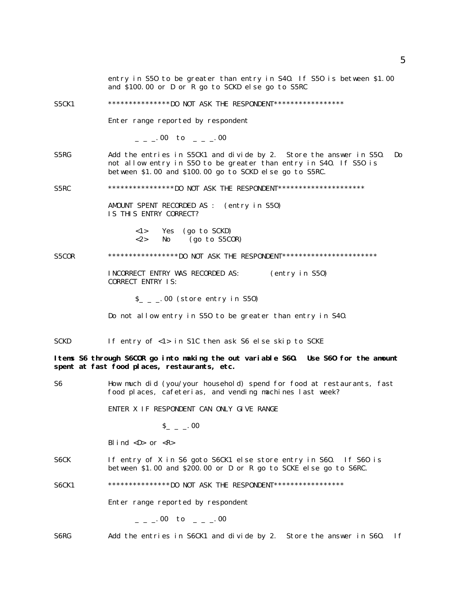and \$100.00 or D or R go to SCKD else go to S5RC S5CK1 \*\*\*\*\*\*\*\*\*\*\*\*\*\*\*DO NOT ASK THE RESPONDENT\*\*\*\*\*\*\*\*\*\*\*\*\*\*\*\*\* Enter range reported by respondent  $\mu = 0.00$  to  $\mu = 0.00$ S5RG Add the entries in S5CK1 and divide by 2. Store the answer in S5O. Do not allow entry in S5O to be greater than entry in S4O. If S5O is between \$1.00 and \$100.00 go to SCKD else go to S5RC. S5RC \*\*\*\*\*\*\*\*\*\*\*\*\*\*\*\*DO NOT ASK THE RESPONDENT\*\*\*\*\*\*\*\*\*\*\*\*\*\*\*\*\*\*\*\*\*\*\* AMOUNT SPENT RECORDED AS : (entry in S5O) IS THIS ENTRY CORRECT? <1> Yes (go to SCKD)  $\langle 2 \rangle$  No (go to S5COR) S5COR \*\*\*\*\*\*\*\*\*\*\*\*\*\*\*\*\*\*DO NOT ASK THE RESPONDENT\*\*\*\*\*\*\*\*\*\*\*\*\*\*\*\*\*\*\*\*\*\*\*\*\*\* INCORRECT ENTRY WAS RECORDED AS: (entry in S5O) CORRECT ENTRY IS:  $S_{-}$   $\ldots$  00 (store entry in S50) Do not allow entry in S5O to be greater than entry in S4O. SCKD If entry of <1> in S1C then ask S6 else skip to SCKE **Items S6 through S6COR go into making the out variable S6O. Use S6O for the amount spent at fast food places, restaurants, etc.** S6 How much did (you/your household) spend for food at restaurants, fast food places, cafeterias, and vending machines last week? ENTER X IF RESPONDENT CAN ONLY GIVE RANGE  $S_{-}$  \_  $\ldots$  00 Blind  $\langle D \rangle$  or  $\langle R \rangle$ S6CK If entry of X in S6 goto S6CK1 else store entry in S6O. If S6O is between \$1.00 and \$200.00 or D or R go to SCKE else go to S6RC. S6CK1 \*\*\*\*\*\*\*\*\*\*\*\*\*\*\*DO NOT ASK THE RESPONDENT\*\*\*\*\*\*\*\*\*\*\*\*\*\*\*\*\* Enter range reported by respondent

entry in S5O to be greater than entry in S4O. If S5O is between \$1.00

 $\mu = \mu = 00$  to  $\mu = \mu = 00$ 

S6RG Add the entries in S6CK1 and divide by 2. Store the answer in S6O. If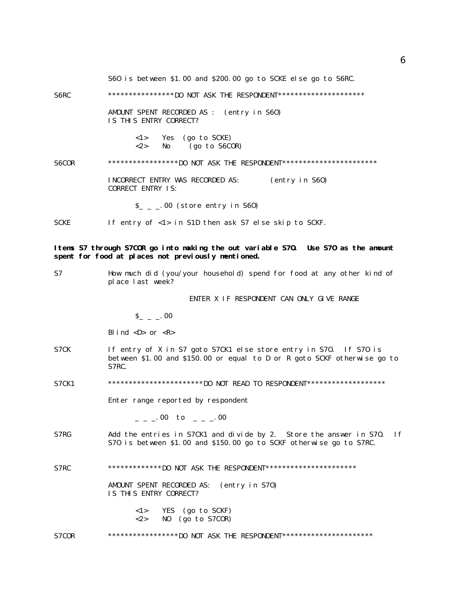|              | S60 is between \$1.00 and \$200.00 go to SCKE else go to S6RC.                                                                                         |
|--------------|--------------------------------------------------------------------------------------------------------------------------------------------------------|
| S6RC         | ******************DO NOT ASK THE RESPONDENT**********************                                                                                      |
|              | AMOUNT SPENT RECORDED AS :<br>(entry in S60)<br>IS THIS ENTRY CORRECT?                                                                                 |
|              | <1><br>Yes (go to SCKE)<br>$<$ 2><br>$(go \ to \ S6COR)$<br>No.                                                                                        |
| <b>S6COR</b> | ******************DO NOT ASK THE RESPONDENT************************                                                                                    |
|              | INCORRECT ENTRY WAS RECORDED AS:<br>(entry in S60)<br><b>CORRECT ENTRY IS:</b>                                                                         |
|              | $S_{-}$ $_{-}$ .00 (store entry in S60)                                                                                                                |
| <b>SCKE</b>  | If entry of <1> in S1D then ask S7 else skip to SCKF.                                                                                                  |
|              | Items S7 through S7COR go into making the out variable S70. Use S70 as the anount<br>spent for food at places not previously mentioned.                |
| S7           | How much did (you/your household) spend for food at any other kind of<br>place last week?                                                              |
|              | ENTER X IF RESPONDENT CAN ONLY GIVE RANGE                                                                                                              |
|              | $S_{-} = 0.00$                                                                                                                                         |
|              | Blind $\langle D \rangle$ or $\langle R \rangle$                                                                                                       |
| S7CK         | If entry of X in S7 goto S7CK1 else store entry in S70. If S70 is<br>between \$1.00 and \$150.00 or equal to D or R goto SCKF otherwise go to<br>S7RC. |
| <b>S7CK1</b> | ************************DO NOT READ TO RESPONDENT*******************                                                                                   |
|              | Enter range reported by respondent                                                                                                                     |
|              | $=$ $=$ $-00$ to $=$ $=$ $-00$                                                                                                                         |
| S7RG         | Add the entries in S7CK1 and divide by 2. Store the answer in S70.<br>1f<br>S70 is between \$1.00 and \$150.00 go to SCKF otherwise go to S7RC.        |
| S7RC         | **************DO NOT ASK THE RESPONDENT***********************                                                                                         |
|              | AMOUNT SPENT RECORDED AS:<br>(entry in S70)<br>IS THIS ENTRY CORRECT?                                                                                  |
|              | $\langle 1 \rangle$<br>YES (go to SCKF)<br>$<\!\!2\!\!>$<br>NO<br>(go to S7COR)                                                                        |

S7COR \*\*\*\*\*\*\*\*\*\*\*\*\*\*\*\*\*\*DO NOT ASK THE RESPONDENT\*\*\*\*\*\*\*\*\*\*\*\*\*\*\*\*\*\*\*\*\*\*\*\*\*\*\*\*\*\*\*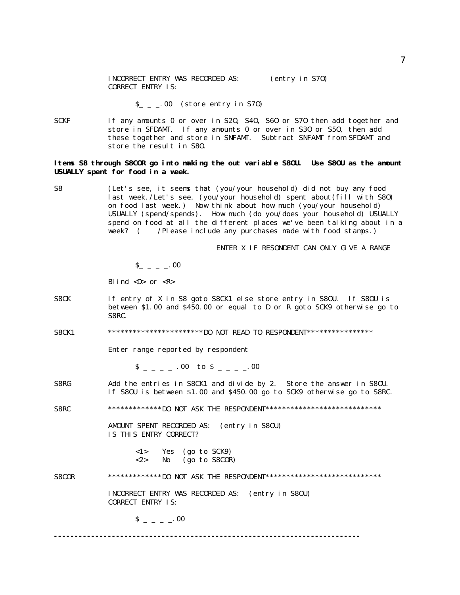$S_{-}$   $_{-}$   $_{-}$  00 (store entry in S70)

SCKF If any amounts 0 or over in S2O, S4O, S6O or S7O then add together and store in SFDAMT. If any amounts 0 or over in S3O or S5O, then add these together and store in SNFAMT. Subtract SNFAMT from SFDAMT and store the result in S8O.

## **Items S8 through S8COR go into making the out variable S8OU. Use S8OU as the amount USUALLY spent for food in a week.**

S8 (Let's see, it seems that (you/your household) did not buy any food last week./Let's see, (you/your household) spent about(fill with S8O) on food last week.) Now think about how much (you/your household) USUALLY (spend/spends). How much (do you/does your household) USUALLY spend on food at all the different places we've been talking about in a week? ( /Please include any purchases made with food stamps.)

ENTER X IF RESONDENT CAN ONLY GIVE A RANGE

 $S_{-}$   $=$   $\cdot$  00

Blind  $\langle D \rangle$  or  $\langle R \rangle$ 

- S8CK If entry of X in S8 goto S8CK1 else store entry in S8OU. If S8OU is between \$1.00 and \$450.00 or equal to D or R goto SCK9 otherwise go to S8RC.
- S8CK1 \*\*\*\*\*\*\*\*\*\*\*\*\*\*\*\*\*\*\*\*\*\*\*\*\*DO NOT READ TO RESPONDENT\*\*\*\*\*\*\*\*\*\*\*\*\*\*\*\*

Enter range reported by respondent

 $S_{-} = -00$  to  $S_{-} = -00$ 

S8RG Add the entries in S8CK1 and divide by 2. Store the answer in S8OU. If S8OU is between \$1.00 and \$450.00 go to SCK9 otherwise go to S8RC.

S8RC \*\*\*\*\*\*\*\*\*\*\*\*\*\*DO NOT ASK THE RESPONDENT\*\*\*\*\*\*\*\*\*\*\*\*\*\*\*\*\*\*\*\*\*\*\*\*\*\*\*\*\*\*\*

AMOUNT SPENT RECORDED AS: (entry in S8OU) IS THIS ENTRY CORRECT?

| < 1>      | Yes | (go to SCK9)        |
|-----------|-----|---------------------|
| ${<}2{>}$ | No  | $(go \ to \ SSCOR)$ |

S8COR \*\*\*\*\*\*\*\*\*\*\*\*\*DO NOT ASK THE RESPONDENT\*\*\*\*\*\*\*\*\*\*\*\*\*\*\*\*\*\*\*\*\*\*\*\*\*\*\*\*\*\*\*

INCORRECT ENTRY WAS RECORDED AS: (entry in S8OU) CORRECT ENTRY IS:

 $S = - - 00$ 

**--------------------------------------------------------------------------**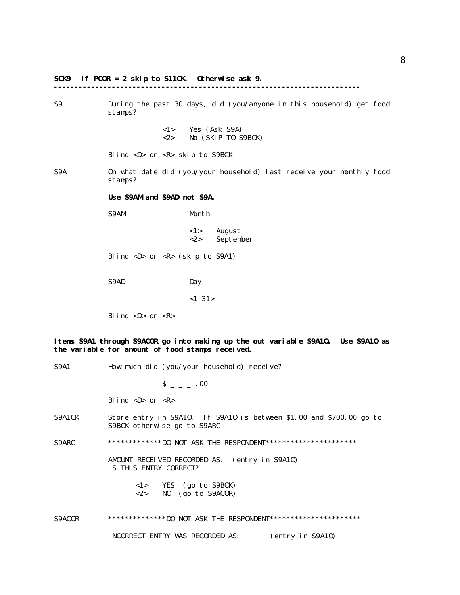# **SCK9 If POOR = 2 skip to S11CK. Otherwise ask 9. --------------------------------------------------------------------------** S9 During the past 30 days, did (you/anyone in this household) get food stamps? <1> Yes (Ask S9A) <2> No (SKIP TO S9BCK) Blind <D> or <R> skip to S9BCK S9A On what date did (you/your household) last receive your monthly food stamps? **Use S9AM and S9AD not S9A.** S9AM Month <1> August <2> September Blind <D> or <R> (skip to S9A1) S9AD Day  $<1-31>$ Blind  $\langle D \rangle$  or  $\langle R \rangle$ **Items S9A1 through S9ACOR go into making up the out variable S9A1O. Use S9A1O as the variable for amount of food stamps received.** S9A1 How much did (you/your household) receive?  $S = - - 00$ Blind  $\langle D \rangle$  or  $\langle R \rangle$ S9A1CK Store entry in S9A10. If S9A10 is between \$1.00 and \$700.00 go to S9BCK otherwise go to S9ARC S9ARC \*\*\*\*\*\*\*\*\*\*\*\*\*\*DO NOT ASK THE RESPONDENT\*\*\*\*\*\*\*\*\*\*\*\*\*\*\*\*\*\*\*\*\*\*\*\*

AMOUNT RECEIVED RECORDED AS: (entry in S9A1O) IS THIS ENTRY CORRECT?

> <1> YES (go to S9BCK) <2> NO (go to S9ACOR)

S9ACOR \*\*\*\*\*\*\*\*\*\*\*\*\*\*DO NOT ASK THE RESPONDENT\*\*\*\*\*\*\*\*\*\*\*\*\*\*\*\*\*\*\*\*\*\*\*\*\*\*

INCORRECT ENTRY WAS RECORDED AS: (entry in S9A1O)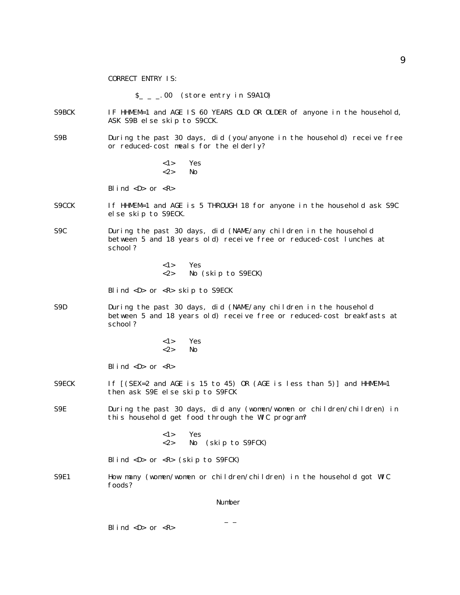CORRECT ENTRY IS:

 $S_{-}$   $\_\,$  00 (store entry in S9A10)

- S9BCK IF HHMEM=1 and AGE IS 60 YEARS OLD OR OLDER of anyone in the household, ASK S9B else skip to S9CCK.
- S9B During the past 30 days, did (you/anyone in the household) receive free or reduced-cost meals for the elderly?
	- <1> Yes <2> No

Blind  $\langle D \rangle$  or  $\langle R \rangle$ 

- S9CCK If HHMEM=1 and AGE is 5 THROUGH 18 for anyone in the household ask S9C else skip to S9ECK.
- S9C During the past 30 days, did (NAME/any children in the household between 5 and 18 years old) receive free or reduced-cost lunches at school?

<1> Yes <2> No (skip to S9ECK)

Blind <D> or <R> skip to S9ECK

- S9D During the past 30 days, did (NAME/any children in the household between 5 and 18 years old) receive free or reduced-cost breakfasts at school?
	- <1> Yes  $\langle 2 \rangle$  No

Blind  $\langle D \rangle$  or  $\langle R \rangle$ 

- S9ECK If  $[(SEX = 2 \text{ and } AGE \text{ is } 15 \text{ to } 45) \text{ OR } (AGE \text{ is } less \text{ than } 5)]$  and HHMEM=1 then ask S9E else skip to S9FCK
- S9E During the past 30 days, did any (women/women or children/children) in this household get food through the WIC program?

<1> Yes <2> No (skip to S9FCK)

Blind  $\langle D \rangle$  or  $\langle R \rangle$  (skip to S9FCK)

S9E1 How many (women/women or children/children) in the household got WIC foods?

Number

 $-$ 

Blind  $\langle D \rangle$  or  $\langle R \rangle$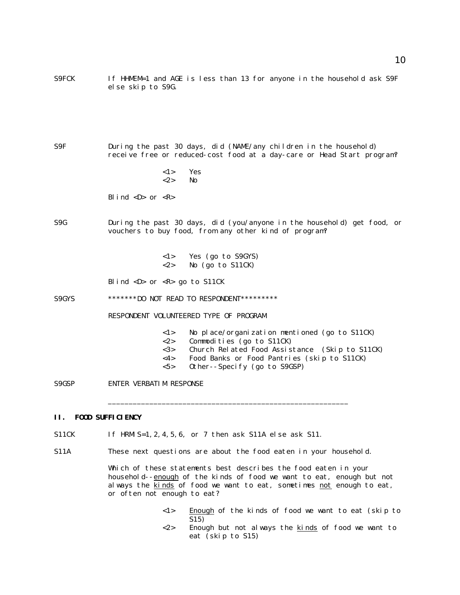- S9FCK If HHMEM=1 and AGE is less than 13 for anyone in the household ask S9F else skip to S9G.
- S9F During the past 30 days, did (NAME/any children in the household) receive free or reduced-cost food at a day-care or Head Start program?
	- <1> Yes  $<2>$  No

Blind  $\langle D \rangle$  or  $\langle R \rangle$ 

S9G During the past 30 days, did (you/anyone in the household) get food, or vouchers to buy food, from any other kind of program?

> <1> Yes (go to S9GYS)  $\langle 2 \rangle$  No (go to S11CK)

Blind <D> or <R> go to S11CK

S9GYS \*\*\*\*\*\*\*\*DO NOT READ TO RESPONDENT\*\*\*\*\*\*\*\*\*\*

RESPONDENT VOLUNTEERED TYPE OF PROGRAM

- <1> No place/organization mentioned (go to S11CK)
- <2> Commodities (go to S11CK)
- <3> Church Related Food Assistance (Skip to S11CK)
- <4> Food Banks or Food Pantries (skip to S11CK)
- <5> Other--Specify (go to S9GSP)

\_\_\_\_\_\_\_\_\_\_\_\_\_\_\_\_\_\_\_\_\_\_\_\_\_\_\_\_\_\_\_\_\_\_\_\_\_\_\_\_\_\_\_\_\_\_\_\_\_\_\_\_\_\_\_\_\_\_

S9GSP ENTER VERBATIM RESPONSE

## **II. FOOD SUFFICIENCY**

- S11CK If HRMIS=1, 2, 4, 5, 6, or 7 then ask S11A else ask S11.
- S11A These next questions are about the food eaten in your household.

Which of these statements best describes the food eaten in your household--enough of the kinds of food we want to eat, enough but not always the kinds of food we want to eat, sometimes not enough to eat, or often not enough to eat?

- <1> Enough of the kinds of food we want to eat (skip to S15)
- <2> Enough but not always the kinds of food we want to eat (skip to S15)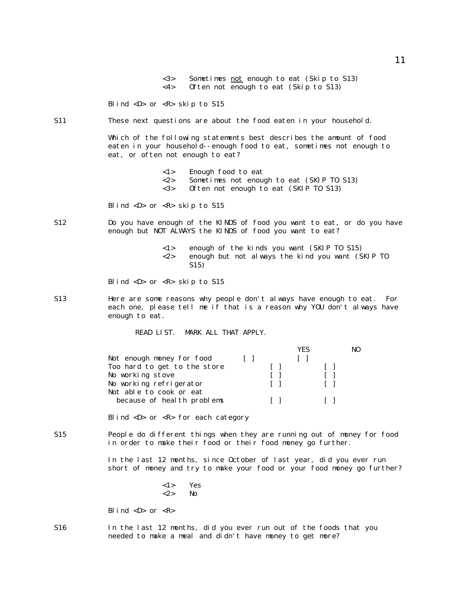<3> Sometimes not enough to eat (Skip to S13) <4> Often not enough to eat (Skip to S13) Blind  $\langle D \rangle$  or  $\langle R \rangle$  skip to S15 S11 These next questions are about the food eaten in your household. Which of the following statements best describes the amount of food eaten in your household--enough food to eat, sometimes not enough to eat, or often not enough to eat? <1> Enough food to eat <2> Sometimes not enough to eat (SKIP TO S13) <3> Often not enough to eat (SKIP TO S13)

Blind <D> or <R> skip to S15

- S12 Do you have enough of the KINDS of food you want to eat, or do you have enough but NOT ALWAYS the KINDS of food you want to eat?
	- <1> enough of the kinds you want (SKIP TO S15) <2> enough but not always the kind you want (SKIP TO S15)

Blind <D> or <R> skip to S15

S13 Here are some reasons why people don't always have enough to eat. For each one, please tell me if that is a reason why YOU don't always have enough to eat.

READ LIST. MARK ALL THAT APPLY.

|                              |              | YFS | NO |
|------------------------------|--------------|-----|----|
| Not enough money for food    |              |     |    |
| Too hard to get to the store | $\mathbf{1}$ |     |    |
| No working stove             |              |     |    |
| No working refrigerator      |              |     |    |
| Not able to cook or eat      |              |     |    |
| because of health problems   |              |     |    |
|                              |              |     |    |

Blind <D> or <R> for each category

S15 People do different things when they are running out of money for food in order to make their food or their food money go further.

> In the last 12 months, since October of last year, did you ever run short of money and try to make your food or your food money go further?

> > <1> Yes <2> No

Blind  $\langle D \rangle$  or  $\langle R \rangle$ 

S16 In the last 12 months, did you ever run out of the foods that you needed to make a meal and didn't have money to get more?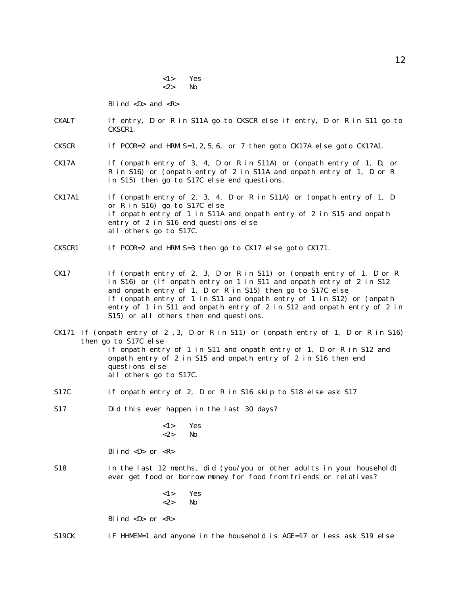<1> Yes <2> No

Blind  $\langle D \rangle$  and  $\langle R \rangle$ 

- CKALT If entry, D or R in S11A go to CKSCR else if entry, D or R in S11 go to CKSCR1.
- CKSCR If POOR=2 and HRMIS=1, 2, 5, 6, or 7 then goto CK17A else goto CK17A1.
- CK17A If (onpath entry of 3, 4, D or R in S11A) or (onpath entry of 1, D, or R in S16) or (onpath entry of 2 in S11A and onpath entry of 1, D or R in S15) then go to S17C else end questions.
- CK17A1 If (onpath entry of 2, 3, 4, D or R in S11A) or (onpath entry of 1, D or R in S16) go to S17C else if onpath entry of 1 in S11A and onpath entry of 2 in S15 and onpath entry of 2 in S16 end questions else all others go to S17C.

CKSCR1 If POOR=2 and HRMIS=3 then go to CK17 else goto CK171.

- CK17 If (onpath entry of 2, 3, D or R in S11) or (onpath entry of 1, D or R in S16) or (if onpath entry on 1 in S11 and onpath entry of 2 in S12 and onpath entry of 1, D or R in S15) then go to S17C else if (onpath entry of 1 in S11 and onpath entry of 1 in S12) or (onpath entry of 1 in S11 and onpath entry of 2 in S12 and onpath entry of 2 in S15) or all others then end questions.
- CK171 If (onpath entry of 2 ,3, D or R in S11) or (onpath entry of 1, D or R in S16) then go to S17C else if onpath entry of 1 in S11 and onpath entry of 1, D or R in S12 and onpath entry of 2 in S15 and onpath entry of 2 in S16 then end questions else all others go to S17C.
- S17C If onpath entry of 2, D or R in S16 skip to S18 else ask S17

S17 Did this ever happen in the last 30 days?

<1> Yes  $\langle 2 \rangle$  No

Blind  $\langle D \rangle$  or  $\langle R \rangle$ 

- S18 In the last 12 months, did (you/you or other adults in your household) ever get food or borrow money for food from friends or relatives?
	- <1> Yes  $\langle 2 \rangle$  No

Blind  $\langle D \rangle$  or  $\langle R \rangle$ 

S19CK IF HHMEM=1 and anyone in the household is AGE=17 or less ask S19 else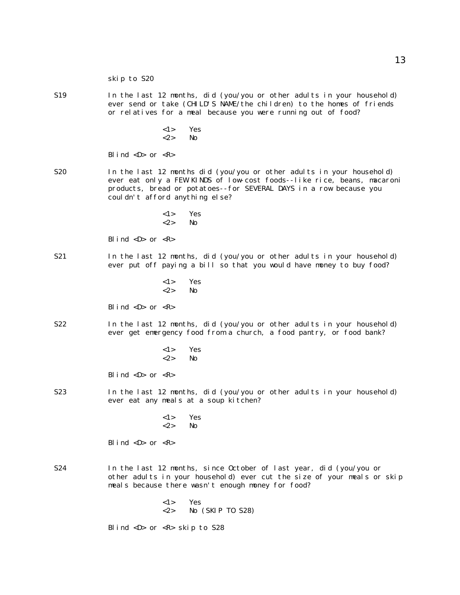- S19 In the last 12 months, did (you/you or other adults in your household) ever send or take (CHILD'S NAME/the children) to the homes of friends or relatives for a meal because you were running out of food?
	- <1> Yes <2> No

Blind  $\langle D \rangle$  or  $\langle R \rangle$ 

- S20 In the last 12 months did (you/you or other adults in your household) ever eat only a FEW KINDS of low-cost foods--like rice, beans, macaroni products, bread or potatoes--for SEVERAL DAYS in a row because you couldn't afford anything else?
	- <1> Yes  $\langle 2 \rangle$  No

Blind  $\langle D \rangle$  or  $\langle R \rangle$ 

- S21 In the last 12 months, did (you/you or other adults in your household) ever put off paying a bill so that you would have money to buy food?
	- <1> Yes <2> No

Blind  $\langle D \rangle$  or  $\langle R \rangle$ 

- S22 In the last 12 months, did (you/you or other adults in your household) ever get emergency food from a church, a food pantry, or food bank?
	- <1> Yes <2> No

Blind  $\langle D \rangle$  or  $\langle R \rangle$ 

- S23 In the last 12 months, did (you/you or other adults in your household) ever eat any meals at a soup kitchen?
	- <1> Yes <2> No

Blind  $\langle D \rangle$  or  $\langle R \rangle$ 

- S24 In the last 12 months, since October of last year, did (you/you or other adults in your household) ever cut the size of your meals or skip meals because there wasn't enough money for food?
	- <1> Yes <2> No (SKIP TO S28)

Blind <D> or <R> skip to S28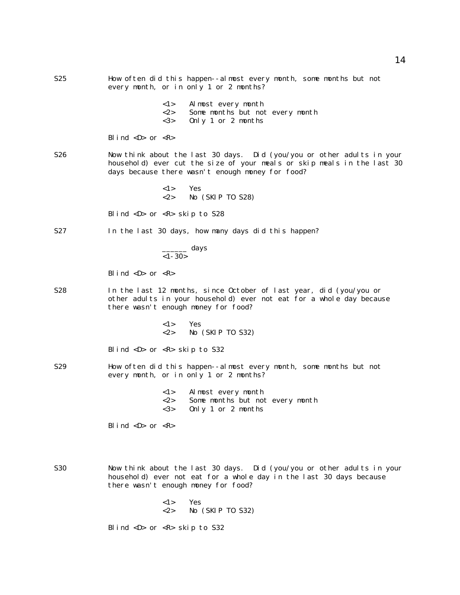S25 How often did this happen--almost every month, some months but not every month, or in only 1 or 2 months? <1> Almost every month <2> Some months but not every month <3> Only 1 or 2 months Blind  $\langle D \rangle$  or  $\langle R \rangle$ S26 Now think about the last 30 days. Did (you/you or other adults in your household) ever cut the size of your meals or skip meals in the last 30 days because there wasn't enough money for food? <1> Yes <2> No (SKIP TO S28) Blind <D> or <R> skip to S28 S27 In the last 30 days, how many days did this happen?  $\frac{1}{\sqrt{2}}$  days  $<1-30>$ Blind  $\langle D \rangle$  or  $\langle R \rangle$ S28 In the last 12 months, since October of last year, did (you/you or other adults in your household) ever not eat for a whole day because there wasn't enough money for food? <1> Yes <2> No (SKIP TO S32) Blind <D> or <R> skip to S32 S29 How often did this happen--almost every month, some months but not every month, or in only 1 or 2 months? <1> Almost every month <2> Some months but not every month <3> Only 1 or 2 months Blind  $\langle D \rangle$  or  $\langle R \rangle$ S30 Now think about the last 30 days. Did (you/you or other adults in your household) ever not eat for a whole day in the last 30 days because there wasn't enough money for food? <1> Yes <2> No (SKIP TO S32)

Blind <D> or <R> skip to S32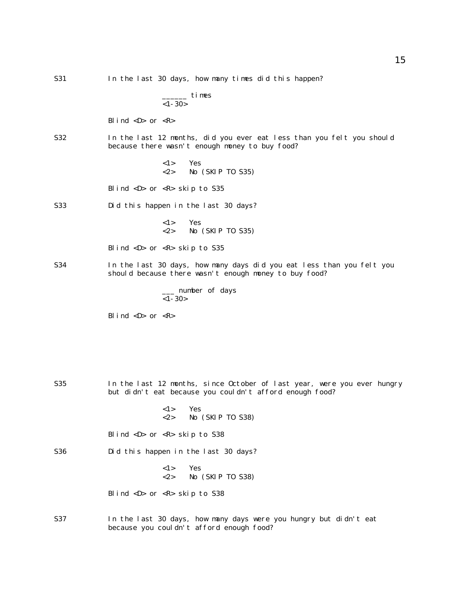- S31 In the last 30 days, how many times did this happen?  $\equiv$  times  $<1-30>$ Blind  $\langle D \rangle$  or  $\langle R \rangle$ S32 In the last 12 months, did you ever eat less than you felt you should because there wasn't enough money to buy food? <1> Yes <2> No (SKIP TO S35) Blind <D> or <R> skip to S35 S33 Did this happen in the last 30 days? <1> Yes  $\langle 2 \rangle$  No (SKIP TO S35) Blind <D> or <R> skip to S35 S34 In the last 30 days, how many days did you eat less than you felt you should because there wasn't enough money to buy food? \_\_\_ number of days  $<1-30>$ Blind  $\langle D \rangle$  or  $\langle R \rangle$
- S35 In the last 12 months, since October of last year, were you ever hungry but didn't eat because you couldn't afford enough food?
- Blind <D> or <R> skip to S38 S36 Did this happen in the last 30 days? <1> Yes <2> No (SKIP TO S38) Blind <D> or <R> skip to S38 S37 In the last 30 days, how many days were you hungry but didn't eat because you couldn't afford enough food?

<2> No (SKIP TO S38)

<1> Yes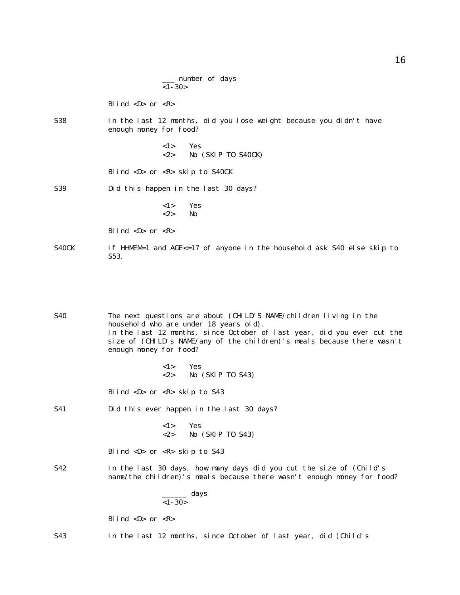|          | number of days |  |
|----------|----------------|--|
| $<1-30>$ |                |  |

Blind  $\langle D \rangle$  or  $\langle R \rangle$ 

S38 In the last 12 months, did you lose weight because you didn't have enough money for food?

> <1> Yes <2> No (SKIP TO S40CK)

Blind <D> or <R> skip to S40CK

S39 Did this happen in the last 30 days?

<1> Yes  $\langle 2 \rangle$  No

Blind  $\langle D \rangle$  or  $\langle R \rangle$ 

S40CK If HHMEM=1 and  $AGE < = 17$  of anyone in the household ask S40 else skip to S53.

S40 The next questions are about (CHILD'S NAME/children living in the household who are under 18 years old). In the last 12 months, since October of last year, did you ever cut the size of (CHILD's NAME/any of the children)'s meals because there wasn't enough money for food?

> <1> Yes <2> No (SKIP TO S43)

Blind <D> or <R> skip to S43

S41 Did this ever happen in the last 30 days?

<1> Yes  $\langle 2 \rangle$  No (SKIP TO S43)

Blind <D> or <R> skip to S43

S42 In the last 30 days, how many days did you cut the size of (Child's name/the children)'s meals because there wasn't enough money for food?

> \_\_\_\_\_\_ days  $<$  1 - 30  $>$

Blind  $\langle D \rangle$  or  $\langle R \rangle$ 

S43 In the last 12 months, since October of last year, did (Child's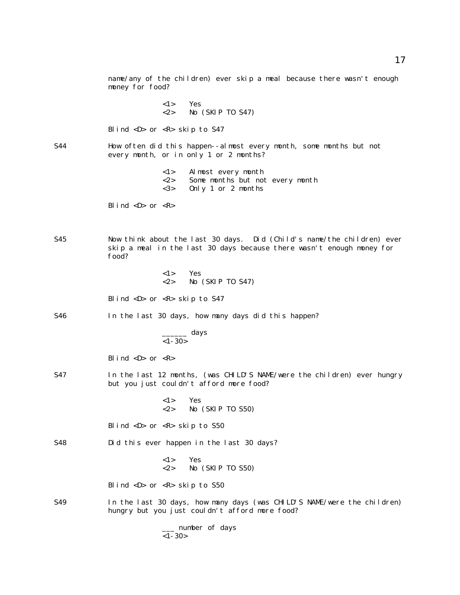name/any of the children) ever skip a meal because there wasn't enough money for food? <1> Yes <2> No (SKIP TO S47) Blind <D> or <R> skip to S47 S44 How often did this happen--almost every month, some months but not every month, or in only 1 or 2 months? <1> Almost every month <2> Some months but not every month <3> Only 1 or 2 months Blind  $\langle D \rangle$  or  $\langle R \rangle$ S45 Now think about the last 30 days. Did (Child's name/the children) ever skip a meal in the last 30 days because there wasn't enough money for food? <1> Yes <2> No (SKIP TO S47) Blind  $\langle D \rangle$  or  $\langle R \rangle$  skip to S47 S46 In the last 30 days, how many days did this happen? \_\_\_\_\_\_ days  $<$  1 - 30  $>$ Blind  $\langle D \rangle$  or  $\langle R \rangle$ S47 In the last 12 months, (was CHILD'S NAME/were the children) ever hungry but you just couldn't afford more food? <1> Yes <2> No (SKIP TO S50) Blind <D> or <R> skip to S50 S48 Did this ever happen in the last 30 days? <1> Yes <2> No (SKIP TO S50) Blind  $\langle D \rangle$  or  $\langle R \rangle$  skip to S50 S49 In the last 30 days, how many days (was CHILD'S NAME/were the children) hungry but you just couldn't afford more food? \_\_\_ number of days  $<1-30>$ 

17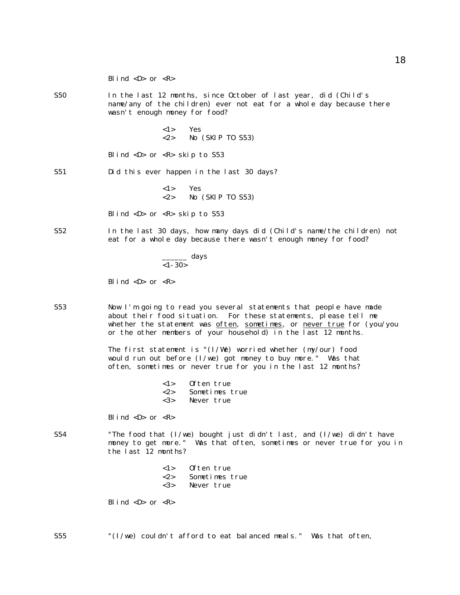|     | Blind $\langle D \rangle$ or $\langle R \rangle$                                                                                                                                                                                                                                   |
|-----|------------------------------------------------------------------------------------------------------------------------------------------------------------------------------------------------------------------------------------------------------------------------------------|
| S50 | In the last 12 months, since October of last year, did (Child's<br>name/any of the children) ever not eat for a whole day because there<br>wasn't enough money for food?                                                                                                           |
|     | $\langle 1 \rangle$ Yes<br>$<\!\!2\!\!>$<br>No (SKIP TO S53)                                                                                                                                                                                                                       |
|     | Blind $\langle D \rangle$ or $\langle R \rangle$ skip to S53                                                                                                                                                                                                                       |
| S51 | Did this ever happen in the last 30 days?                                                                                                                                                                                                                                          |
|     | $\langle 1 \rangle$<br>Yes<br>$<\!\!2\!\!>$<br>No (SKIP TO S53)                                                                                                                                                                                                                    |
|     | Blind $\langle D \rangle$ or $\langle R \rangle$ skip to S53                                                                                                                                                                                                                       |
| S52 | In the last 30 days, how many days did (Child's name/the children) not<br>eat for a whole day because there wasn't enough money for food?                                                                                                                                          |
|     | $\frac{1}{1-30}$ days                                                                                                                                                                                                                                                              |
|     | Blind <d> or <math>\langle R \rangle</math></d>                                                                                                                                                                                                                                    |
| S53 | Now I'm going to read you several statements that people have made<br>about their food situation. For these statements, please tell me<br>whether the statement was often, sometimes, or never true for (you/you<br>or the other members of your household) in the last 12 months. |
|     | The first statement is " $(I/We)$ worried whether $(my/our)$ food<br>would run out before $(I/we)$ got money to buy more." Was that<br>often, sometimes or never true for you in the last 12 months?                                                                               |
|     | Often true<br>1><br>$<\!\!2\!\!>$<br>Sometimes true<br>$3>$<br>Never true                                                                                                                                                                                                          |
|     | Blind $\langle D \rangle$ or $\langle R \rangle$                                                                                                                                                                                                                                   |
| S54 | "The food that $(I/we)$ bought just didn't last, and $(I/we)$ didn't have<br>money to get more." Was that often, sometimes or never true for you in<br>the last 12 months?                                                                                                         |
|     | Often true<br>1><br>$<\!\!2\!\!>$<br>Sometimes true<br>$3>$<br>Never true                                                                                                                                                                                                          |
|     | Blind <d> or <math>\langle R \rangle</math></d>                                                                                                                                                                                                                                    |

S55 "(I/we) couldn't afford to eat balanced meals." Was that often,

18